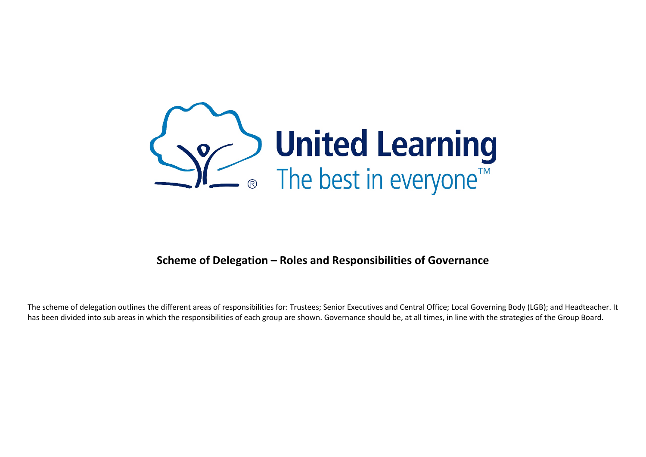

#### **Scheme of Delegation – Roles and Responsibilities of Governance**

The scheme of delegation outlines the different areas of responsibilities for: Trustees; Senior Executives and Central Office; Local Governing Body (LGB); and Headteacher. It has been divided into sub areas in which the responsibilities of each group are shown. Governance should be, at all times, in line with the strategies of the Group Board.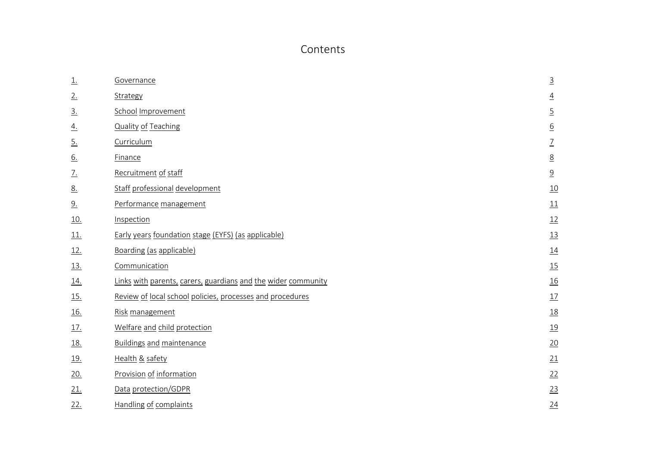#### Contents

| $\underline{1}$ . | Governance                                                    | $\overline{3}$        |
|-------------------|---------------------------------------------------------------|-----------------------|
| 2.                | Strategy                                                      | $\overline{4}$        |
| $\overline{3}$ .  | School Improvement                                            | $\overline{5}$        |
| <u>4.</u>         | <b>Quality of Teaching</b>                                    | $\underline{6}$       |
| $\underline{5}$ . | Curriculum                                                    | $\underline{7}$       |
| 6.                | Finance                                                       | $\underline{8}$       |
| $\frac{7}{2}$     | Recruitment of staff                                          | $\overline{\partial}$ |
| <u>8.</u>         | Staff professional development                                | 10                    |
| 9.                | Performance management                                        | 11                    |
| <u>10.</u>        | Inspection                                                    | 12                    |
| <u>11.</u>        | Early years foundation stage (EYFS) (as applicable)           | 13                    |
| <u>12.</u>        | Boarding (as applicable)                                      | $\underline{14}$      |
| 13.               | Communication                                                 | 15                    |
| <u>14.</u>        | Links with parents, carers, guardians and the wider community | $\underline{16}$      |
| <u>15.</u>        | Review of local school policies, processes and procedures     | 17                    |
| <u>16.</u>        | Risk management                                               | $\underline{18}$      |
| <u>17.</u>        | Welfare and child protection                                  | 19                    |
| <u>18.</u>        | <b>Buildings and maintenance</b>                              | $\underline{20}$      |
| <u>19.</u>        | Health & safety                                               | 21                    |
| 20.               | Provision of information                                      | 22                    |
| 21.               | Data protection/GDPR                                          | 23                    |
| 22.               | <b>Handling of complaints</b>                                 | 24                    |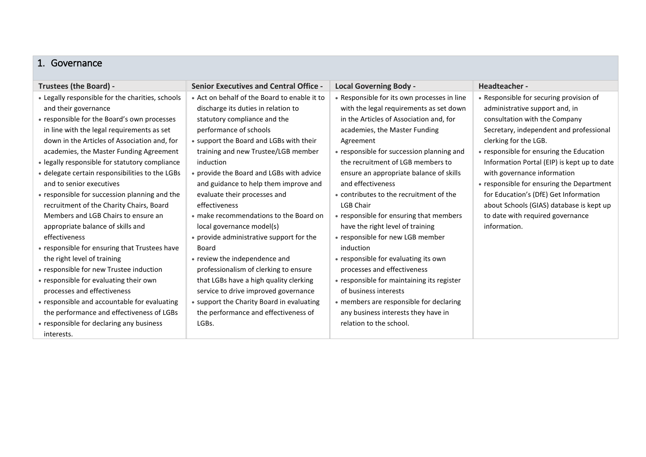#### <span id="page-2-0"></span>1. Governance

| Trustees (the Board) -                           | <b>Senior Executives and Central Office -</b> | <b>Local Governing Body -</b>               | Headteacher -                               |
|--------------------------------------------------|-----------------------------------------------|---------------------------------------------|---------------------------------------------|
| • Legally responsible for the charities, schools | • Act on behalf of the Board to enable it to  | • Responsible for its own processes in line | • Responsible for securing provision of     |
| and their governance                             | discharge its duties in relation to           | with the legal requirements as set down     | administrative support and, in              |
| • responsible for the Board's own processes      | statutory compliance and the                  | in the Articles of Association and, for     | consultation with the Company               |
| in line with the legal requirements as set       | performance of schools                        | academies, the Master Funding               | Secretary, independent and professional     |
| down in the Articles of Association and, for     | • support the Board and LGBs with their       | Agreement                                   | clerking for the LGB.                       |
| academies, the Master Funding Agreement          | training and new Trustee/LGB member           | • responsible for succession planning and   | • responsible for ensuring the Education    |
| • legally responsible for statutory compliance   | induction                                     | the recruitment of LGB members to           | Information Portal (EIP) is kept up to date |
| • delegate certain responsibilities to the LGBs  | • provide the Board and LGBs with advice      | ensure an appropriate balance of skills     | with governance information                 |
| and to senior executives                         | and guidance to help them improve and         | and effectiveness                           | • responsible for ensuring the Department   |
| • responsible for succession planning and the    | evaluate their processes and                  | • contributes to the recruitment of the     | for Education's (DfE) Get Information       |
| recruitment of the Charity Chairs, Board         | effectiveness                                 | <b>LGB Chair</b>                            | about Schools (GIAS) database is kept up    |
| Members and LGB Chairs to ensure an              | • make recommendations to the Board on        | • responsible for ensuring that members     | to date with required governance            |
| appropriate balance of skills and                | local governance model(s)                     | have the right level of training            | information.                                |
| effectiveness                                    | • provide administrative support for the      | • responsible for new LGB member            |                                             |
| • responsible for ensuring that Trustees have    | Board                                         | induction                                   |                                             |
| the right level of training                      | • review the independence and                 | • responsible for evaluating its own        |                                             |
| • responsible for new Trustee induction          | professionalism of clerking to ensure         | processes and effectiveness                 |                                             |
| • responsible for evaluating their own           | that LGBs have a high quality clerking        | • responsible for maintaining its register  |                                             |
| processes and effectiveness                      | service to drive improved governance          | of business interests                       |                                             |
| • responsible and accountable for evaluating     | • support the Charity Board in evaluating     | • members are responsible for declaring     |                                             |
| the performance and effectiveness of LGBs        | the performance and effectiveness of          | any business interests they have in         |                                             |
| • responsible for declaring any business         | LGBs.                                         | relation to the school.                     |                                             |
| interests.                                       |                                               |                                             |                                             |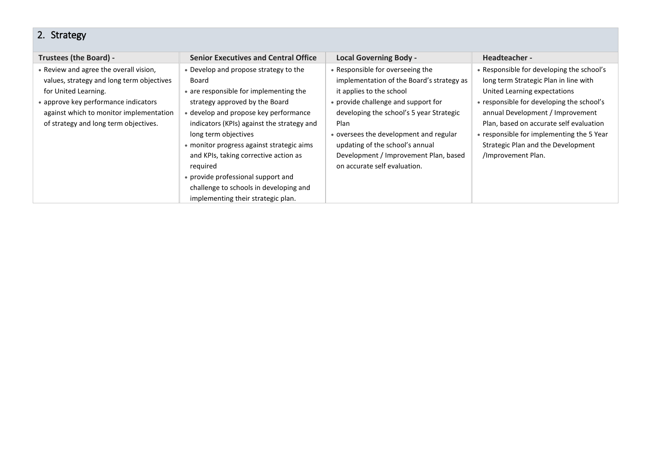### <span id="page-3-0"></span>2. Strategy

| Trustees (the Board) -                                                                                                                                                                                                                  | <b>Senior Executives and Central Office</b>                                                                                                                                                                                                                                                                                                                                                                                                                       | <b>Local Governing Body -</b>                                                                                                                                                                                                                                                                                                                              | Headteacher -                                                                                                                                                                                                                                                                                                                                           |
|-----------------------------------------------------------------------------------------------------------------------------------------------------------------------------------------------------------------------------------------|-------------------------------------------------------------------------------------------------------------------------------------------------------------------------------------------------------------------------------------------------------------------------------------------------------------------------------------------------------------------------------------------------------------------------------------------------------------------|------------------------------------------------------------------------------------------------------------------------------------------------------------------------------------------------------------------------------------------------------------------------------------------------------------------------------------------------------------|---------------------------------------------------------------------------------------------------------------------------------------------------------------------------------------------------------------------------------------------------------------------------------------------------------------------------------------------------------|
| • Review and agree the overall vision,<br>values, strategy and long term objectives<br>for United Learning.<br>• approve key performance indicators<br>against which to monitor implementation<br>of strategy and long term objectives. | • Develop and propose strategy to the<br>Board<br>• are responsible for implementing the<br>strategy approved by the Board<br>• develop and propose key performance<br>indicators (KPIs) against the strategy and<br>long term objectives<br>• monitor progress against strategic aims<br>and KPIs, taking corrective action as<br>reguired<br>• provide professional support and<br>challenge to schools in developing and<br>implementing their strategic plan. | • Responsible for overseeing the<br>implementation of the Board's strategy as<br>it applies to the school<br>• provide challenge and support for<br>developing the school's 5 year Strategic<br>Plan<br>• oversees the development and regular<br>updating of the school's annual<br>Development / Improvement Plan, based<br>on accurate self evaluation. | • Responsible for developing the school's<br>long term Strategic Plan in line with<br>United Learning expectations<br>• responsible for developing the school's<br>annual Development / Improvement<br>Plan, based on accurate self evaluation<br>• responsible for implementing the 5 Year<br>Strategic Plan and the Development<br>/Improvement Plan. |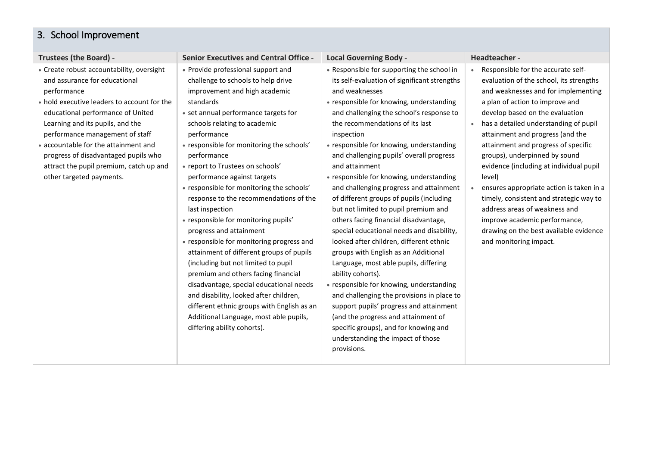## <span id="page-4-0"></span>3. School Improvement

| <b>Trustees (the Board) -</b>                                                                                                                                                                                                                                                                                                                                                                               | <b>Senior Executives and Central Office -</b>                                                                                                                                                                                                                                                                                                                                                                                                                                                                                                                                                                                                                                                                                                                                                                                                                                                                | <b>Local Governing Body -</b>                                                                                                                                                                                                                                                                                                                                                                                                                                                                                                                                                                                                                                                                                                                                                                                                                                                                                                                                                                                                                              | Headteacher -                                                                                                                                                                                                                                                                                                                                                                                                                                                                                                                                                                                                                                               |
|-------------------------------------------------------------------------------------------------------------------------------------------------------------------------------------------------------------------------------------------------------------------------------------------------------------------------------------------------------------------------------------------------------------|--------------------------------------------------------------------------------------------------------------------------------------------------------------------------------------------------------------------------------------------------------------------------------------------------------------------------------------------------------------------------------------------------------------------------------------------------------------------------------------------------------------------------------------------------------------------------------------------------------------------------------------------------------------------------------------------------------------------------------------------------------------------------------------------------------------------------------------------------------------------------------------------------------------|------------------------------------------------------------------------------------------------------------------------------------------------------------------------------------------------------------------------------------------------------------------------------------------------------------------------------------------------------------------------------------------------------------------------------------------------------------------------------------------------------------------------------------------------------------------------------------------------------------------------------------------------------------------------------------------------------------------------------------------------------------------------------------------------------------------------------------------------------------------------------------------------------------------------------------------------------------------------------------------------------------------------------------------------------------|-------------------------------------------------------------------------------------------------------------------------------------------------------------------------------------------------------------------------------------------------------------------------------------------------------------------------------------------------------------------------------------------------------------------------------------------------------------------------------------------------------------------------------------------------------------------------------------------------------------------------------------------------------------|
| • Create robust accountability, oversight<br>and assurance for educational<br>performance<br>• hold executive leaders to account for the<br>educational performance of United<br>Learning and its pupils, and the<br>performance management of staff<br>• accountable for the attainment and<br>progress of disadvantaged pupils who<br>attract the pupil premium, catch up and<br>other targeted payments. | • Provide professional support and<br>challenge to schools to help drive<br>improvement and high academic<br>standards<br>• set annual performance targets for<br>schools relating to academic<br>performance<br>• responsible for monitoring the schools'<br>performance<br>• report to Trustees on schools'<br>performance against targets<br>• responsible for monitoring the schools'<br>response to the recommendations of the<br>last inspection<br>• responsible for monitoring pupils'<br>progress and attainment<br>• responsible for monitoring progress and<br>attainment of different groups of pupils<br>(including but not limited to pupil<br>premium and others facing financial<br>disadvantage, special educational needs<br>and disability, looked after children,<br>different ethnic groups with English as an<br>Additional Language, most able pupils,<br>differing ability cohorts). | • Responsible for supporting the school in<br>its self-evaluation of significant strengths<br>and weaknesses<br>• responsible for knowing, understanding<br>and challenging the school's response to<br>the recommendations of its last<br>inspection<br>• responsible for knowing, understanding<br>and challenging pupils' overall progress<br>and attainment<br>• responsible for knowing, understanding<br>and challenging progress and attainment<br>of different groups of pupils (including<br>but not limited to pupil premium and<br>others facing financial disadvantage,<br>special educational needs and disability,<br>looked after children, different ethnic<br>groups with English as an Additional<br>Language, most able pupils, differing<br>ability cohorts).<br>• responsible for knowing, understanding<br>and challenging the provisions in place to<br>support pupils' progress and attainment<br>(and the progress and attainment of<br>specific groups), and for knowing and<br>understanding the impact of those<br>provisions. | Responsible for the accurate self-<br>$\bullet$<br>evaluation of the school, its strengths<br>and weaknesses and for implementing<br>a plan of action to improve and<br>develop based on the evaluation<br>has a detailed understanding of pupil<br>$\bullet$<br>attainment and progress (and the<br>attainment and progress of specific<br>groups), underpinned by sound<br>evidence (including at individual pupil<br>level)<br>ensures appropriate action is taken in a<br>timely, consistent and strategic way to<br>address areas of weakness and<br>improve academic performance,<br>drawing on the best available evidence<br>and monitoring impact. |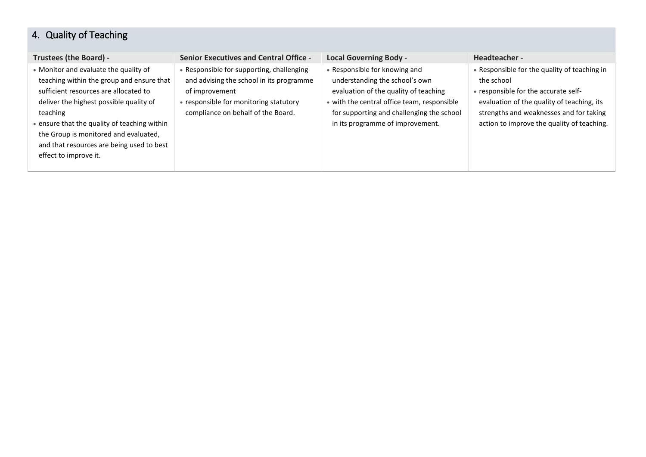## <span id="page-5-0"></span>4. Quality of Teaching

| <b>Trustees (the Board) -</b>                | <b>Senior Executives and Central Office -</b> | <b>Local Governing Body -</b>               | Headteacher -                                |
|----------------------------------------------|-----------------------------------------------|---------------------------------------------|----------------------------------------------|
| • Monitor and evaluate the quality of        | • Responsible for supporting, challenging     | • Responsible for knowing and               | • Responsible for the quality of teaching in |
| teaching within the group and ensure that    | and advising the school in its programme      | understanding the school's own              | the school                                   |
| sufficient resources are allocated to        | of improvement                                | evaluation of the quality of teaching       | • responsible for the accurate self-         |
| deliver the highest possible quality of      | • responsible for monitoring statutory        | • with the central office team, responsible | evaluation of the quality of teaching, its   |
| teaching                                     | compliance on behalf of the Board.            | for supporting and challenging the school   | strengths and weaknesses and for taking      |
| • ensure that the quality of teaching within |                                               | in its programme of improvement.            | action to improve the quality of teaching.   |
| the Group is monitored and evaluated,        |                                               |                                             |                                              |
| and that resources are being used to best    |                                               |                                             |                                              |
| effect to improve it.                        |                                               |                                             |                                              |
|                                              |                                               |                                             |                                              |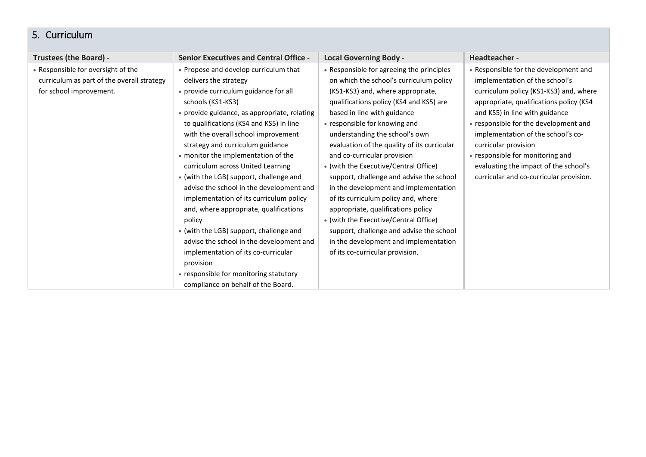#### <span id="page-6-0"></span>5. Curriculum

| Trustees (the Board) -                                                                                      | <b>Senior Executives and Central Office -</b>                                                                                                                                                                                                                                                                                                                                                                                                                                                                                                                                                                                                                                                                                                                                                   | <b>Local Governing Body -</b>                                                                                                                                                                                                                                                                                                                                                                                                                                                                                                                                                                                                                                                                                                    | Headteacher -                                                                                                                                                                                                                                                                                                                                                                                                                 |
|-------------------------------------------------------------------------------------------------------------|-------------------------------------------------------------------------------------------------------------------------------------------------------------------------------------------------------------------------------------------------------------------------------------------------------------------------------------------------------------------------------------------------------------------------------------------------------------------------------------------------------------------------------------------------------------------------------------------------------------------------------------------------------------------------------------------------------------------------------------------------------------------------------------------------|----------------------------------------------------------------------------------------------------------------------------------------------------------------------------------------------------------------------------------------------------------------------------------------------------------------------------------------------------------------------------------------------------------------------------------------------------------------------------------------------------------------------------------------------------------------------------------------------------------------------------------------------------------------------------------------------------------------------------------|-------------------------------------------------------------------------------------------------------------------------------------------------------------------------------------------------------------------------------------------------------------------------------------------------------------------------------------------------------------------------------------------------------------------------------|
| • Responsible for oversight of the<br>curriculum as part of the overall strategy<br>for school improvement. | • Propose and develop curriculum that<br>delivers the strategy<br>• provide curriculum guidance for all<br>schools (KS1-KS3)<br>• provide guidance, as appropriate, relating<br>to qualifications (KS4 and KS5) in line<br>with the overall school improvement<br>strategy and curriculum guidance<br>• monitor the implementation of the<br>curriculum across United Learning<br>• (with the LGB) support, challenge and<br>advise the school in the development and<br>implementation of its curriculum policy<br>and, where appropriate, qualifications<br>policy<br>• (with the LGB) support, challenge and<br>advise the school in the development and<br>implementation of its co-curricular<br>provision<br>• responsible for monitoring statutory<br>compliance on behalf of the Board. | • Responsible for agreeing the principles<br>on which the school's curriculum policy<br>(KS1-KS3) and, where appropriate,<br>qualifications policy (KS4 and KS5) are<br>based in line with guidance<br>• responsible for knowing and<br>understanding the school's own<br>evaluation of the quality of its curricular<br>and co-curricular provision<br>• (with the Executive/Central Office)<br>support, challenge and advise the school<br>in the development and implementation<br>of its curriculum policy and, where<br>appropriate, qualifications policy<br>• (with the Executive/Central Office)<br>support, challenge and advise the school<br>in the development and implementation<br>of its co-curricular provision. | • Responsible for the development and<br>implementation of the school's<br>curriculum policy (KS1-KS3) and, where<br>appropriate, qualifications policy (KS4<br>and KS5) in line with guidance<br>• responsible for the development and<br>implementation of the school's co-<br>curricular provision<br>• responsible for monitoring and<br>evaluating the impact of the school's<br>curricular and co-curricular provision. |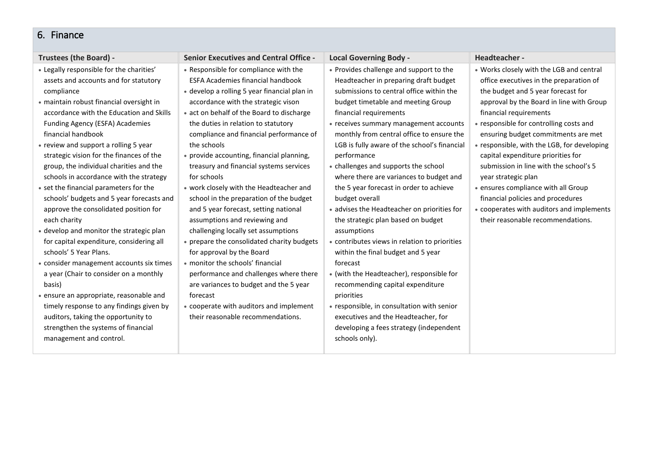#### <span id="page-7-0"></span>6. Finance

| <b>Trustees (the Board) -</b>                                                                                                                                                                                                                                                                                                                                                                                                                                                                                                                                                                                                                                       | <b>Senior Executives and Central Office -</b>                                                                                                                                                                                                                                                                                                                                                                                                                                                                                                                                                                                                                                      | <b>Local Governing Body -</b>                                                                                                                                                                                                                                                                                                                                                                                                                                                                                                                                                                                                                           | Headteacher -                                                                                                                                                                                                                                                                                                                                                                                                                                                                                                                                                                                         |
|---------------------------------------------------------------------------------------------------------------------------------------------------------------------------------------------------------------------------------------------------------------------------------------------------------------------------------------------------------------------------------------------------------------------------------------------------------------------------------------------------------------------------------------------------------------------------------------------------------------------------------------------------------------------|------------------------------------------------------------------------------------------------------------------------------------------------------------------------------------------------------------------------------------------------------------------------------------------------------------------------------------------------------------------------------------------------------------------------------------------------------------------------------------------------------------------------------------------------------------------------------------------------------------------------------------------------------------------------------------|---------------------------------------------------------------------------------------------------------------------------------------------------------------------------------------------------------------------------------------------------------------------------------------------------------------------------------------------------------------------------------------------------------------------------------------------------------------------------------------------------------------------------------------------------------------------------------------------------------------------------------------------------------|-------------------------------------------------------------------------------------------------------------------------------------------------------------------------------------------------------------------------------------------------------------------------------------------------------------------------------------------------------------------------------------------------------------------------------------------------------------------------------------------------------------------------------------------------------------------------------------------------------|
| • Legally responsible for the charities'<br>assets and accounts and for statutory<br>compliance<br>· maintain robust financial oversight in<br>accordance with the Education and Skills<br>Funding Agency (ESFA) Academies<br>financial handbook<br>• review and support a rolling 5 year<br>strategic vision for the finances of the<br>group, the individual charities and the<br>schools in accordance with the strategy<br>• set the financial parameters for the<br>schools' budgets and 5 year forecasts and<br>approve the consolidated position for<br>each charity<br>• develop and monitor the strategic plan<br>for capital expenditure, considering all | • Responsible for compliance with the<br><b>ESFA Academies financial handbook</b><br>• develop a rolling 5 year financial plan in<br>accordance with the strategic vison<br>• act on behalf of the Board to discharge<br>the duties in relation to statutory<br>compliance and financial performance of<br>the schools<br>• provide accounting, financial planning,<br>treasury and financial systems services<br>for schools<br>• work closely with the Headteacher and<br>school in the preparation of the budget<br>and 5 year forecast, setting national<br>assumptions and reviewing and<br>challenging locally set assumptions<br>• prepare the consolidated charity budgets | • Provides challenge and support to the<br>Headteacher in preparing draft budget<br>submissions to central office within the<br>budget timetable and meeting Group<br>financial requirements<br>• receives summary management accounts<br>monthly from central office to ensure the<br>LGB is fully aware of the school's financial<br>performance<br>• challenges and supports the school<br>where there are variances to budget and<br>the 5 year forecast in order to achieve<br>budget overall<br>• advises the Headteacher on priorities for<br>the strategic plan based on budget<br>assumptions<br>• contributes views in relation to priorities | • Works closely with the LGB and central<br>office executives in the preparation of<br>the budget and 5 year forecast for<br>approval by the Board in line with Group<br>financial requirements<br>• responsible for controlling costs and<br>ensuring budget commitments are met<br>• responsible, with the LGB, for developing<br>capital expenditure priorities for<br>submission in line with the school's 5<br>year strategic plan<br>• ensures compliance with all Group<br>financial policies and procedures<br>• cooperates with auditors and implements<br>their reasonable recommendations. |
| schools' 5 Year Plans.<br>• consider management accounts six times<br>a year (Chair to consider on a monthly<br>basis)<br>• ensure an appropriate, reasonable and                                                                                                                                                                                                                                                                                                                                                                                                                                                                                                   | for approval by the Board<br>• monitor the schools' financial<br>performance and challenges where there<br>are variances to budget and the 5 year<br>forecast                                                                                                                                                                                                                                                                                                                                                                                                                                                                                                                      | within the final budget and 5 year<br>forecast<br>• (with the Headteacher), responsible for<br>recommending capital expenditure<br>priorities                                                                                                                                                                                                                                                                                                                                                                                                                                                                                                           |                                                                                                                                                                                                                                                                                                                                                                                                                                                                                                                                                                                                       |
| timely response to any findings given by<br>auditors, taking the opportunity to<br>strengthen the systems of financial<br>management and control.                                                                                                                                                                                                                                                                                                                                                                                                                                                                                                                   | • cooperate with auditors and implement<br>their reasonable recommendations.                                                                                                                                                                                                                                                                                                                                                                                                                                                                                                                                                                                                       | • responsible, in consultation with senior<br>executives and the Headteacher, for<br>developing a fees strategy (independent<br>schools only).                                                                                                                                                                                                                                                                                                                                                                                                                                                                                                          |                                                                                                                                                                                                                                                                                                                                                                                                                                                                                                                                                                                                       |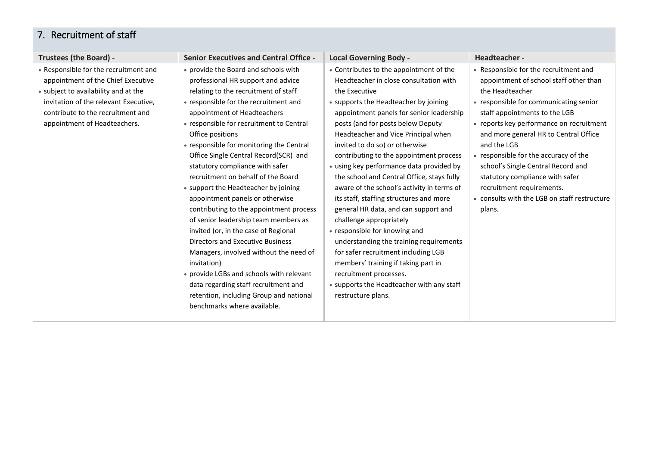#### <span id="page-8-0"></span>7. Recruitment of staff

| Trustees (the Board) -                                                                                                                                                                                                            | <b>Senior Executives and Central Office -</b>                                                                                                                                                                                                                                                                                                                                                                                                                                                                                                                                                                                                                                                                                                                                                                                                                                                    | <b>Local Governing Body -</b>                                                                                                                                                                                                                                                                                                                                                                                                                                                                                                                                                                                                                                                                                                                                                                                                                                 | Headteacher -                                                                                                                                                                                                                                                                                                                                                                                                                                                                              |
|-----------------------------------------------------------------------------------------------------------------------------------------------------------------------------------------------------------------------------------|--------------------------------------------------------------------------------------------------------------------------------------------------------------------------------------------------------------------------------------------------------------------------------------------------------------------------------------------------------------------------------------------------------------------------------------------------------------------------------------------------------------------------------------------------------------------------------------------------------------------------------------------------------------------------------------------------------------------------------------------------------------------------------------------------------------------------------------------------------------------------------------------------|---------------------------------------------------------------------------------------------------------------------------------------------------------------------------------------------------------------------------------------------------------------------------------------------------------------------------------------------------------------------------------------------------------------------------------------------------------------------------------------------------------------------------------------------------------------------------------------------------------------------------------------------------------------------------------------------------------------------------------------------------------------------------------------------------------------------------------------------------------------|--------------------------------------------------------------------------------------------------------------------------------------------------------------------------------------------------------------------------------------------------------------------------------------------------------------------------------------------------------------------------------------------------------------------------------------------------------------------------------------------|
| • Responsible for the recruitment and<br>appointment of the Chief Executive<br>• subject to availability and at the<br>invitation of the relevant Executive,<br>contribute to the recruitment and<br>appointment of Headteachers. | • provide the Board and schools with<br>professional HR support and advice<br>relating to the recruitment of staff<br>• responsible for the recruitment and<br>appointment of Headteachers<br>• responsible for recruitment to Central<br>Office positions<br>• responsible for monitoring the Central<br>Office Single Central Record(SCR) and<br>statutory compliance with safer<br>recruitment on behalf of the Board<br>• support the Headteacher by joining<br>appointment panels or otherwise<br>contributing to the appointment process<br>of senior leadership team members as<br>invited (or, in the case of Regional<br><b>Directors and Executive Business</b><br>Managers, involved without the need of<br>invitation)<br>• provide LGBs and schools with relevant<br>data regarding staff recruitment and<br>retention, including Group and national<br>benchmarks where available. | • Contributes to the appointment of the<br>Headteacher in close consultation with<br>the Executive<br>• supports the Headteacher by joining<br>appointment panels for senior leadership<br>posts (and for posts below Deputy<br>Headteacher and Vice Principal when<br>invited to do so) or otherwise<br>contributing to the appointment process<br>• using key performance data provided by<br>the school and Central Office, stays fully<br>aware of the school's activity in terms of<br>its staff, staffing structures and more<br>general HR data, and can support and<br>challenge appropriately<br>• responsible for knowing and<br>understanding the training requirements<br>for safer recruitment including LGB<br>members' training if taking part in<br>recruitment processes.<br>• supports the Headteacher with any staff<br>restructure plans. | • Responsible for the recruitment and<br>appointment of school staff other than<br>the Headteacher<br>• responsible for communicating senior<br>staff appointments to the LGB<br>• reports key performance on recruitment<br>and more general HR to Central Office<br>and the LGB<br>• responsible for the accuracy of the<br>school's Single Central Record and<br>statutory compliance with safer<br>recruitment requirements.<br>• consults with the LGB on staff restructure<br>plans. |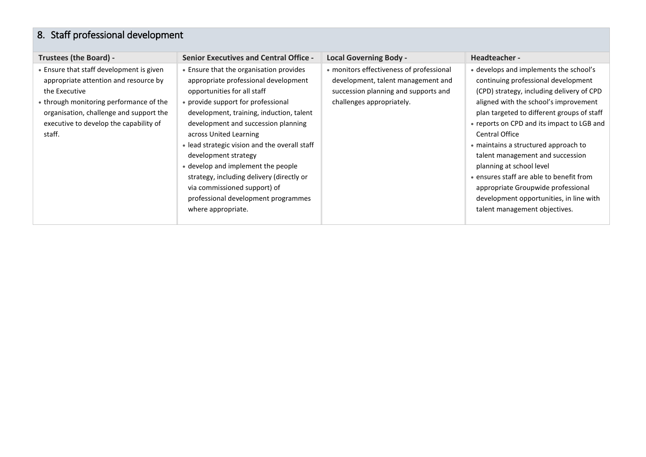# <span id="page-9-0"></span>8. Staff professional development

| Trustees (the Board) -                                                                                                                                                                                                                       | <b>Senior Executives and Central Office -</b>                                                                                                                                                                                                                                                                                                                                                                                                                                                                              | <b>Local Governing Body -</b>                                                                                                                       | Headteacher -                                                                                                                                                                                                                                                                                                                                                                                                                                                                                                                                           |
|----------------------------------------------------------------------------------------------------------------------------------------------------------------------------------------------------------------------------------------------|----------------------------------------------------------------------------------------------------------------------------------------------------------------------------------------------------------------------------------------------------------------------------------------------------------------------------------------------------------------------------------------------------------------------------------------------------------------------------------------------------------------------------|-----------------------------------------------------------------------------------------------------------------------------------------------------|---------------------------------------------------------------------------------------------------------------------------------------------------------------------------------------------------------------------------------------------------------------------------------------------------------------------------------------------------------------------------------------------------------------------------------------------------------------------------------------------------------------------------------------------------------|
| • Ensure that staff development is given<br>appropriate attention and resource by<br>the Executive<br>• through monitoring performance of the<br>organisation, challenge and support the<br>executive to develop the capability of<br>staff. | • Ensure that the organisation provides<br>appropriate professional development<br>opportunities for all staff<br>• provide support for professional<br>development, training, induction, talent<br>development and succession planning<br>across United Learning<br>• lead strategic vision and the overall staff<br>development strategy<br>• develop and implement the people<br>strategy, including delivery (directly or<br>via commissioned support) of<br>professional development programmes<br>where appropriate. | • monitors effectiveness of professional<br>development, talent management and<br>succession planning and supports and<br>challenges appropriately. | • develops and implements the school's<br>continuing professional development<br>(CPD) strategy, including delivery of CPD<br>aligned with the school's improvement<br>plan targeted to different groups of staff<br>• reports on CPD and its impact to LGB and<br>Central Office<br>• maintains a structured approach to<br>talent management and succession<br>planning at school level<br>• ensures staff are able to benefit from<br>appropriate Groupwide professional<br>development opportunities, in line with<br>talent management objectives. |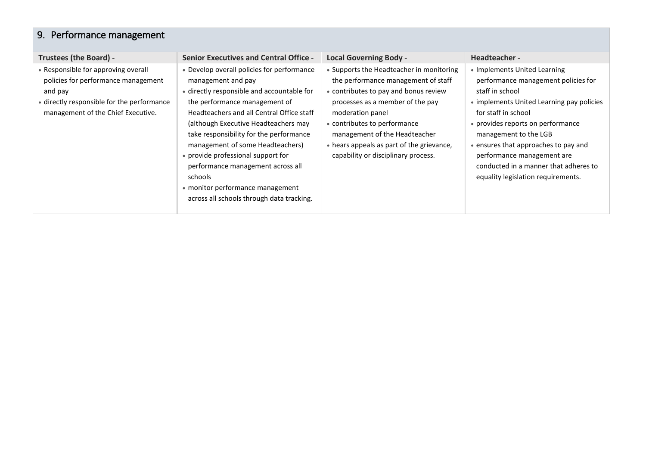## <span id="page-10-0"></span>9. Performance management

| <b>Trustees (the Board) -</b>                                                                                                                                             | <b>Senior Executives and Central Office -</b>                                                                                                                                                                                                                                                                                                                                                                                                                                              | <b>Local Governing Body -</b>                                                                                                                                                                                                                                                                                                         | Headteacher -                                                                                                                                                                                                                                                                                                                                                                 |
|---------------------------------------------------------------------------------------------------------------------------------------------------------------------------|--------------------------------------------------------------------------------------------------------------------------------------------------------------------------------------------------------------------------------------------------------------------------------------------------------------------------------------------------------------------------------------------------------------------------------------------------------------------------------------------|---------------------------------------------------------------------------------------------------------------------------------------------------------------------------------------------------------------------------------------------------------------------------------------------------------------------------------------|-------------------------------------------------------------------------------------------------------------------------------------------------------------------------------------------------------------------------------------------------------------------------------------------------------------------------------------------------------------------------------|
| • Responsible for approving overall<br>policies for performance management<br>and pay<br>• directly responsible for the performance<br>management of the Chief Executive. | • Develop overall policies for performance<br>management and pay<br>• directly responsible and accountable for<br>the performance management of<br>Headteachers and all Central Office staff<br>(although Executive Headteachers may<br>take responsibility for the performance<br>management of some Headteachers)<br>• provide professional support for<br>performance management across all<br>schools<br>• monitor performance management<br>across all schools through data tracking. | • Supports the Headteacher in monitoring<br>the performance management of staff<br>• contributes to pay and bonus review<br>processes as a member of the pay<br>moderation panel<br>• contributes to performance<br>management of the Headteacher<br>• hears appeals as part of the grievance,<br>capability or disciplinary process. | • Implements United Learning<br>performance management policies for<br>staff in school<br>• implements United Learning pay policies<br>for staff in school<br>• provides reports on performance<br>management to the LGB<br>• ensures that approaches to pay and<br>performance management are<br>conducted in a manner that adheres to<br>equality legislation requirements. |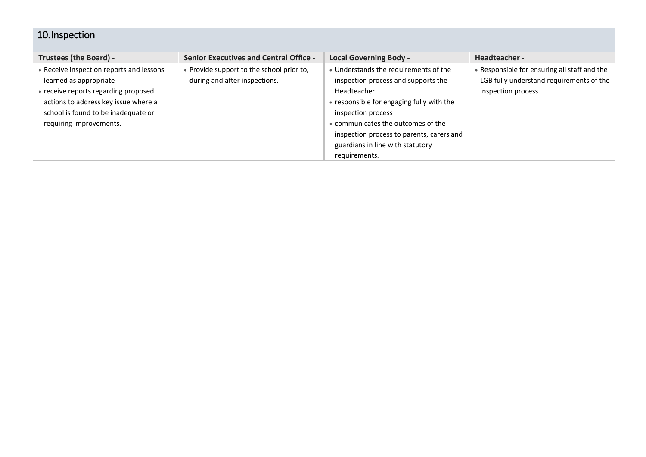## <span id="page-11-0"></span>10.Inspection

| Trustees (the Board) -                   | <b>Senior Executives and Central Office -</b> | <b>Local Governing Body -</b>             | Headteacher -                                |
|------------------------------------------|-----------------------------------------------|-------------------------------------------|----------------------------------------------|
| • Receive inspection reports and lessons | • Provide support to the school prior to,     | • Understands the requirements of the     | • Responsible for ensuring all staff and the |
| learned as appropriate                   | during and after inspections.                 | inspection process and supports the       | LGB fully understand requirements of the     |
| • receive reports regarding proposed     |                                               | Headteacher                               | inspection process.                          |
| actions to address key issue where a     |                                               | • responsible for engaging fully with the |                                              |
| school is found to be inadequate or      |                                               | inspection process                        |                                              |
| requiring improvements.                  |                                               | • communicates the outcomes of the        |                                              |
|                                          |                                               | inspection process to parents, carers and |                                              |
|                                          |                                               | guardians in line with statutory          |                                              |
|                                          |                                               | requirements.                             |                                              |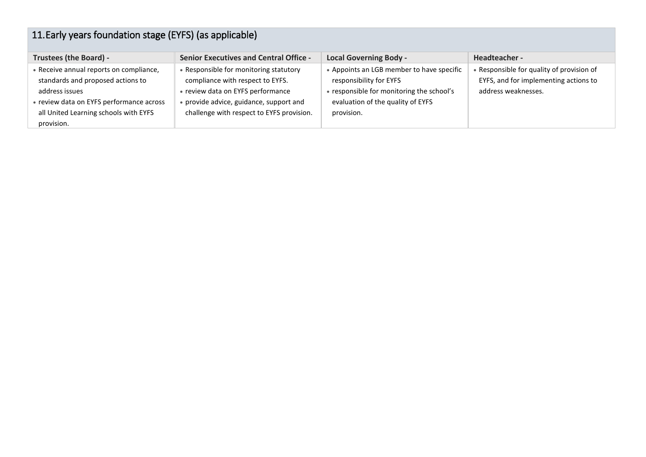<span id="page-12-0"></span>

| 11. Early years foundation stage (EYFS) (as applicable)                                                                                                                                           |                                                                                                                                                                                                         |                                                                                                                                                                      |                                                                                                           |  |
|---------------------------------------------------------------------------------------------------------------------------------------------------------------------------------------------------|---------------------------------------------------------------------------------------------------------------------------------------------------------------------------------------------------------|----------------------------------------------------------------------------------------------------------------------------------------------------------------------|-----------------------------------------------------------------------------------------------------------|--|
| <b>Trustees (the Board) -</b>                                                                                                                                                                     | <b>Senior Executives and Central Office -</b>                                                                                                                                                           | <b>Local Governing Body -</b>                                                                                                                                        | Headteacher -                                                                                             |  |
| • Receive annual reports on compliance,<br>standards and proposed actions to<br>address issues<br>• review data on EYFS performance across<br>all United Learning schools with EYFS<br>provision. | • Responsible for monitoring statutory<br>compliance with respect to EYFS.<br>• review data on EYFS performance<br>• provide advice, guidance, support and<br>challenge with respect to EYFS provision. | • Appoints an LGB member to have specific<br>responsibility for EYFS<br>• responsible for monitoring the school's<br>evaluation of the quality of EYFS<br>provision. | • Responsible for quality of provision of<br>EYFS, and for implementing actions to<br>address weaknesses. |  |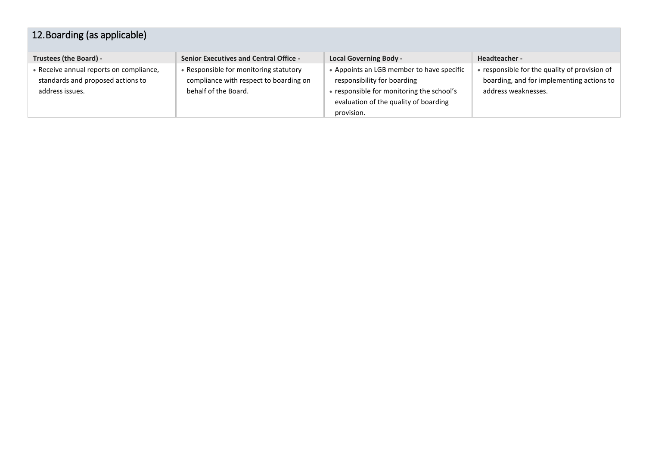<span id="page-13-0"></span>

| 12. Boarding (as applicable)                                                                    |                                                                                                        |                                                                                                                                                                              |                                                                                                                   |
|-------------------------------------------------------------------------------------------------|--------------------------------------------------------------------------------------------------------|------------------------------------------------------------------------------------------------------------------------------------------------------------------------------|-------------------------------------------------------------------------------------------------------------------|
| Trustees (the Board) -                                                                          | <b>Senior Executives and Central Office -</b>                                                          | <b>Local Governing Body -</b>                                                                                                                                                | Headteacher -                                                                                                     |
| • Receive annual reports on compliance,<br>standards and proposed actions to<br>address issues. | Responsible for monitoring statutory<br>compliance with respect to boarding on<br>behalf of the Board. | • Appoints an LGB member to have specific<br>responsibility for boarding<br>• responsible for monitoring the school's<br>evaluation of the quality of boarding<br>provision. | • responsible for the quality of provision of<br>boarding, and for implementing actions to<br>address weaknesses. |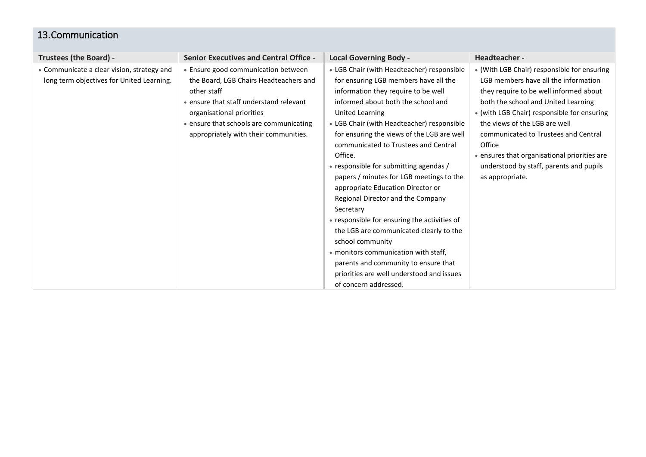#### <span id="page-14-0"></span>13.Communication

| Trustees (the Board) -                     | <b>Senior Executives and Central Office -</b> | <b>Local Governing Body -</b>                | Headteacher-                                 |
|--------------------------------------------|-----------------------------------------------|----------------------------------------------|----------------------------------------------|
| • Communicate a clear vision, strategy and | • Ensure good communication between           | • LGB Chair (with Headteacher) responsible   | • (With LGB Chair) responsible for ensuring  |
| long term objectives for United Learning.  | the Board, LGB Chairs Headteachers and        | for ensuring LGB members have all the        | LGB members have all the information         |
|                                            | other staff                                   | information they require to be well          | they require to be well informed about       |
|                                            | • ensure that staff understand relevant       | informed about both the school and           | both the school and United Learning          |
|                                            | organisational priorities                     | United Learning                              | • (with LGB Chair) responsible for ensuring  |
|                                            | • ensure that schools are communicating       | • LGB Chair (with Headteacher) responsible   | the views of the LGB are well                |
|                                            | appropriately with their communities.         | for ensuring the views of the LGB are well   | communicated to Trustees and Central         |
|                                            |                                               | communicated to Trustees and Central         | Office                                       |
|                                            |                                               | Office.                                      | • ensures that organisational priorities are |
|                                            |                                               | • responsible for submitting agendas /       | understood by staff, parents and pupils      |
|                                            |                                               | papers / minutes for LGB meetings to the     | as appropriate.                              |
|                                            |                                               | appropriate Education Director or            |                                              |
|                                            |                                               | Regional Director and the Company            |                                              |
|                                            |                                               | Secretary                                    |                                              |
|                                            |                                               | • responsible for ensuring the activities of |                                              |
|                                            |                                               | the LGB are communicated clearly to the      |                                              |
|                                            |                                               | school community                             |                                              |
|                                            |                                               | • monitors communication with staff,         |                                              |
|                                            |                                               | parents and community to ensure that         |                                              |
|                                            |                                               | priorities are well understood and issues    |                                              |
|                                            |                                               | of concern addressed.                        |                                              |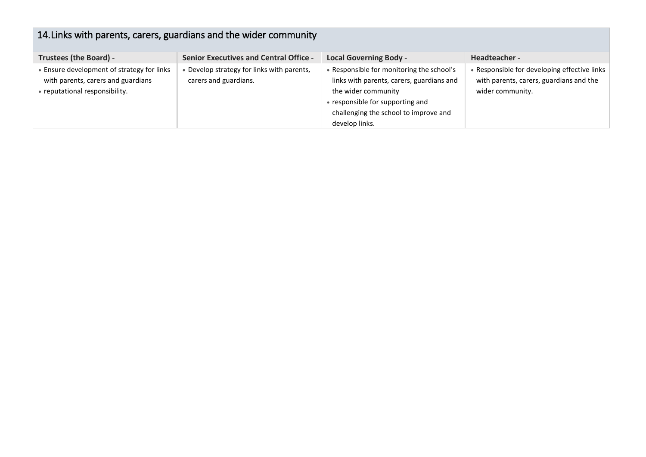# <span id="page-15-0"></span>14.Links with parents, carers, guardians and the wider community

| Trustees (the Board) -                     | <b>Senior Executives and Central Office -</b> | <b>Local Governing Body -</b>             | Headteacher -                                |
|--------------------------------------------|-----------------------------------------------|-------------------------------------------|----------------------------------------------|
| • Ensure development of strategy for links | • Develop strategy for links with parents,    | Responsible for monitoring the school's   | • Responsible for developing effective links |
| with parents, carers and guardians         | carers and guardians.                         | links with parents, carers, guardians and | with parents, carers, guardians and the      |
| • reputational responsibility.             |                                               | the wider community                       | wider community.                             |
|                                            |                                               | • responsible for supporting and          |                                              |
|                                            |                                               | challenging the school to improve and     |                                              |
|                                            |                                               | develop links.                            |                                              |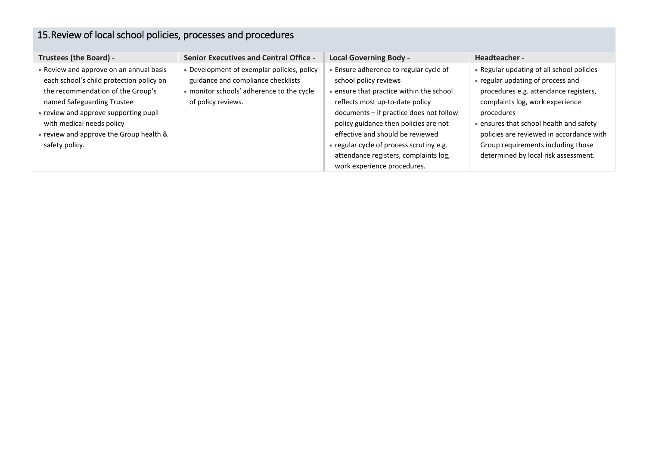# <span id="page-16-0"></span>15.Review of local school policies, processes and procedures

| <b>Trustees (the Board) -</b>                                                                                                                                                                                                                                                             | <b>Senior Executives and Central Office -</b>                                                                                                       | <b>Local Governing Body -</b>                                                                                                                                                                                                                                                                                                                                                            | Headteacher -                                                                                                                                                                                                                                                                                                                                 |
|-------------------------------------------------------------------------------------------------------------------------------------------------------------------------------------------------------------------------------------------------------------------------------------------|-----------------------------------------------------------------------------------------------------------------------------------------------------|------------------------------------------------------------------------------------------------------------------------------------------------------------------------------------------------------------------------------------------------------------------------------------------------------------------------------------------------------------------------------------------|-----------------------------------------------------------------------------------------------------------------------------------------------------------------------------------------------------------------------------------------------------------------------------------------------------------------------------------------------|
| • Review and approve on an annual basis<br>each school's child protection policy on<br>the recommendation of the Group's<br>named Safeguarding Trustee<br>• review and approve supporting pupil<br>with medical needs policy<br>• review and approve the Group health &<br>safety policy. | • Development of exemplar policies, policy<br>guidance and compliance checklists<br>• monitor schools' adherence to the cycle<br>of policy reviews. | Ensure adherence to regular cycle of<br>school policy reviews<br>. ensure that practice within the school<br>reflects most up-to-date policy<br>documents - if practice does not follow<br>policy guidance then policies are not<br>effective and should be reviewed<br>• regular cycle of process scrutiny e.g.<br>attendance registers, complaints log,<br>work experience procedures. | • Regular updating of all school policies<br>• regular updating of process and<br>procedures e.g. attendance registers,<br>complaints log, work experience<br>procedures<br>• ensures that school health and safety<br>policies are reviewed in accordance with<br>Group requirements including those<br>determined by local risk assessment. |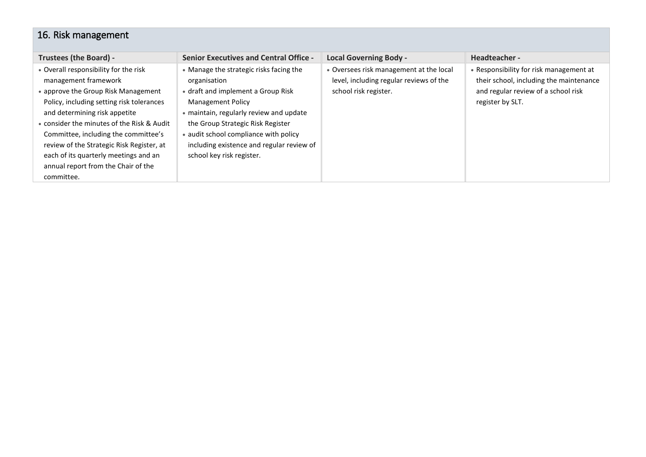## <span id="page-17-0"></span>16. Risk management

| Trustees (the Board) -                                                                                                                                                                                                                                                                                                                                                                                              | <b>Senior Executives and Central Office -</b>                                                                                                                                                                                                                                                                                | <b>Local Governing Body -</b>                                                                               | Headteacher -                                                                                                                                 |
|---------------------------------------------------------------------------------------------------------------------------------------------------------------------------------------------------------------------------------------------------------------------------------------------------------------------------------------------------------------------------------------------------------------------|------------------------------------------------------------------------------------------------------------------------------------------------------------------------------------------------------------------------------------------------------------------------------------------------------------------------------|-------------------------------------------------------------------------------------------------------------|-----------------------------------------------------------------------------------------------------------------------------------------------|
| • Overall responsibility for the risk<br>management framework<br>• approve the Group Risk Management<br>Policy, including setting risk tolerances<br>and determining risk appetite<br>• consider the minutes of the Risk & Audit<br>Committee, including the committee's<br>review of the Strategic Risk Register, at<br>each of its quarterly meetings and an<br>annual report from the Chair of the<br>committee. | • Manage the strategic risks facing the<br>organisation<br>• draft and implement a Group Risk<br><b>Management Policy</b><br>• maintain, regularly review and update<br>the Group Strategic Risk Register<br>• audit school compliance with policy<br>including existence and regular review of<br>school key risk register. | • Oversees risk management at the local<br>level, including regular reviews of the<br>school risk register. | • Responsibility for risk management at<br>their school, including the maintenance<br>and regular review of a school risk<br>register by SLT. |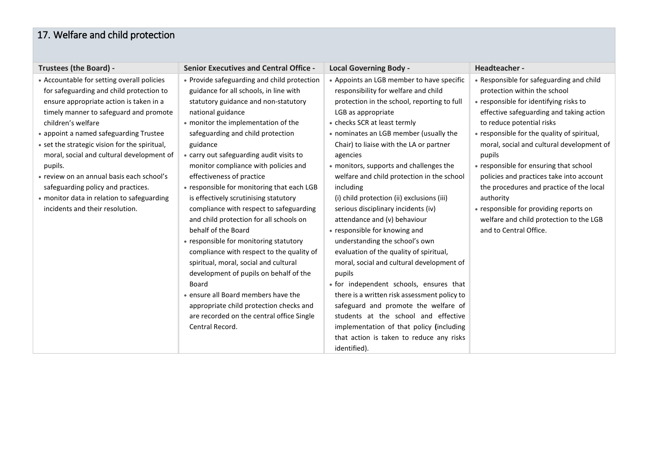## <span id="page-18-0"></span>17. Welfare and child protection

| Trustees (the Board) -                        | <b>Senior Executives and Central Office -</b> | <b>Local Governing Body -</b>                | Headteacher -                               |
|-----------------------------------------------|-----------------------------------------------|----------------------------------------------|---------------------------------------------|
| • Accountable for setting overall policies    | • Provide safeguarding and child protection   | • Appoints an LGB member to have specific    | • Responsible for safeguarding and child    |
| for safeguarding and child protection to      | guidance for all schools, in line with        | responsibility for welfare and child         | protection within the school                |
| ensure appropriate action is taken in a       | statutory guidance and non-statutory          | protection in the school, reporting to full  | • responsible for identifying risks to      |
| timely manner to safeguard and promote        | national guidance                             | LGB as appropriate                           | effective safeguarding and taking action    |
| children's welfare                            | • monitor the implementation of the           | • checks SCR at least termly                 | to reduce potential risks                   |
| • appoint a named safeguarding Trustee        | safeguarding and child protection             | • nominates an LGB member (usually the       | • responsible for the quality of spiritual, |
| • set the strategic vision for the spiritual, | guidance                                      | Chair) to liaise with the LA or partner      | moral, social and cultural development of   |
| moral, social and cultural development of     | • carry out safeguarding audit visits to      | agencies                                     | pupils                                      |
| pupils.                                       | monitor compliance with policies and          | • monitors, supports and challenges the      | • responsible for ensuring that school      |
| • review on an annual basis each school's     | effectiveness of practice                     | welfare and child protection in the school   | policies and practices take into account    |
| safeguarding policy and practices.            | • responsible for monitoring that each LGB    | including                                    | the procedures and practice of the local    |
| • monitor data in relation to safeguarding    | is effectively scrutinising statutory         | (i) child protection (ii) exclusions (iii)   | authority                                   |
| incidents and their resolution.               | compliance with respect to safeguarding       | serious disciplinary incidents (iv)          | • responsible for providing reports on      |
|                                               | and child protection for all schools on       | attendance and (v) behaviour                 | welfare and child protection to the LGB     |
|                                               | behalf of the Board                           | • responsible for knowing and                | and to Central Office.                      |
|                                               | • responsible for monitoring statutory        | understanding the school's own               |                                             |
|                                               | compliance with respect to the quality of     | evaluation of the quality of spiritual,      |                                             |
|                                               | spiritual, moral, social and cultural         | moral, social and cultural development of    |                                             |
|                                               | development of pupils on behalf of the        | pupils                                       |                                             |
|                                               | Board                                         | · for independent schools, ensures that      |                                             |
|                                               | • ensure all Board members have the           | there is a written risk assessment policy to |                                             |
|                                               | appropriate child protection checks and       | safeguard and promote the welfare of         |                                             |
|                                               | are recorded on the central office Single     | students at the school and effective         |                                             |
|                                               | Central Record.                               | implementation of that policy (including     |                                             |
|                                               |                                               | that action is taken to reduce any risks     |                                             |
|                                               |                                               | identified).                                 |                                             |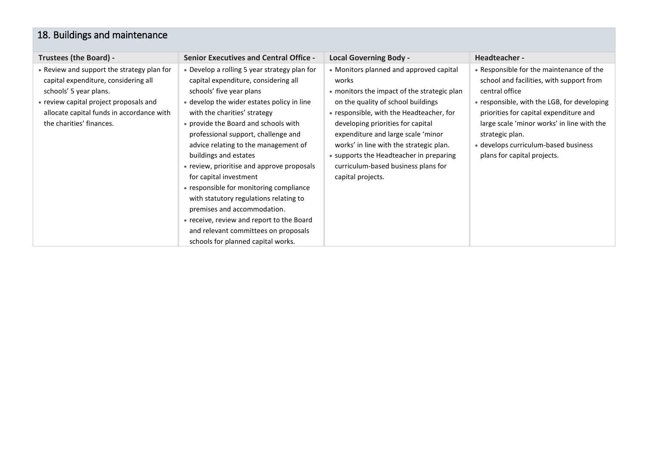### <span id="page-19-0"></span>18. Buildings and maintenance

| Trustees (the Board) -                                                                                                                                                                                                          | <b>Senior Executives and Central Office -</b>                                                                                                                                                                                                                                                                                                                                                                                                                                                                                                                                                                                                                         | <b>Local Governing Body -</b>                                                                                                                                                                                                                                                                                                                                                                                  | Headteacher -                                                                                                                                                                                                                                                                                                                           |
|---------------------------------------------------------------------------------------------------------------------------------------------------------------------------------------------------------------------------------|-----------------------------------------------------------------------------------------------------------------------------------------------------------------------------------------------------------------------------------------------------------------------------------------------------------------------------------------------------------------------------------------------------------------------------------------------------------------------------------------------------------------------------------------------------------------------------------------------------------------------------------------------------------------------|----------------------------------------------------------------------------------------------------------------------------------------------------------------------------------------------------------------------------------------------------------------------------------------------------------------------------------------------------------------------------------------------------------------|-----------------------------------------------------------------------------------------------------------------------------------------------------------------------------------------------------------------------------------------------------------------------------------------------------------------------------------------|
| • Review and support the strategy plan for<br>capital expenditure, considering all<br>schools' 5 year plans.<br>• review capital project proposals and<br>allocate capital funds in accordance with<br>the charities' finances. | • Develop a rolling 5 year strategy plan for<br>capital expenditure, considering all<br>schools' five year plans<br>• develop the wider estates policy in line<br>with the charities' strategy<br>• provide the Board and schools with<br>professional support, challenge and<br>advice relating to the management of<br>buildings and estates<br>• review, prioritise and approve proposals<br>for capital investment<br>• responsible for monitoring compliance<br>with statutory regulations relating to<br>premises and accommodation.<br>• receive, review and report to the Board<br>and relevant committees on proposals<br>schools for planned capital works. | • Monitors planned and approved capital<br>works<br>• monitors the impact of the strategic plan<br>on the quality of school buildings<br>• responsible, with the Headteacher, for<br>developing priorities for capital<br>expenditure and large scale 'minor<br>works' in line with the strategic plan.<br>• supports the Headteacher in preparing<br>curriculum-based business plans for<br>capital projects. | • Responsible for the maintenance of the<br>school and facilities, with support from<br>central office<br>• responsible, with the LGB, for developing<br>priorities for capital expenditure and<br>large scale 'minor works' in line with the<br>strategic plan.<br>• develops curriculum-based business<br>plans for capital projects. |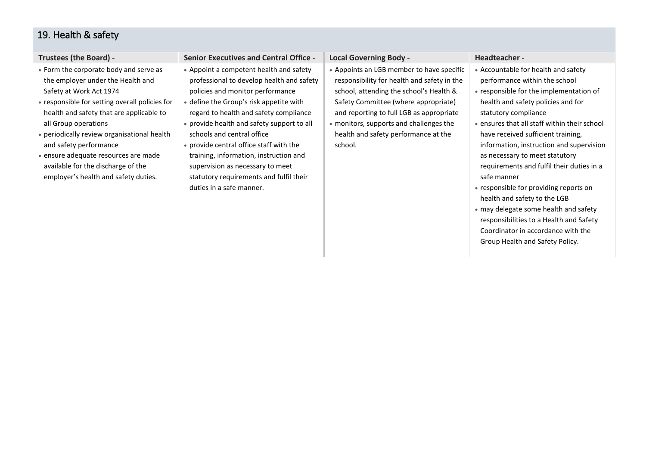## <span id="page-20-0"></span>19. Health & safety

| <b>Trustees (the Board) -</b>                                                                                                                                                                                                                                                                                                                                                                                               | <b>Senior Executives and Central Office -</b>                                                                                                                                                                                                                                                                                                                                                                                                                                             | <b>Local Governing Body -</b>                                                                                                                                                                                                                                                                                         | Headteacher -                                                                                                                                                                                                                                                                                                                                                                                                                                                                                                                                                                                                                                        |
|-----------------------------------------------------------------------------------------------------------------------------------------------------------------------------------------------------------------------------------------------------------------------------------------------------------------------------------------------------------------------------------------------------------------------------|-------------------------------------------------------------------------------------------------------------------------------------------------------------------------------------------------------------------------------------------------------------------------------------------------------------------------------------------------------------------------------------------------------------------------------------------------------------------------------------------|-----------------------------------------------------------------------------------------------------------------------------------------------------------------------------------------------------------------------------------------------------------------------------------------------------------------------|------------------------------------------------------------------------------------------------------------------------------------------------------------------------------------------------------------------------------------------------------------------------------------------------------------------------------------------------------------------------------------------------------------------------------------------------------------------------------------------------------------------------------------------------------------------------------------------------------------------------------------------------------|
| • Form the corporate body and serve as<br>the employer under the Health and<br>Safety at Work Act 1974<br>• responsible for setting overall policies for<br>health and safety that are applicable to<br>all Group operations<br>• periodically review organisational health<br>and safety performance<br>· ensure adequate resources are made<br>available for the discharge of the<br>employer's health and safety duties. | • Appoint a competent health and safety<br>professional to develop health and safety<br>policies and monitor performance<br>• define the Group's risk appetite with<br>regard to health and safety compliance<br>• provide health and safety support to all<br>schools and central office<br>• provide central office staff with the<br>training, information, instruction and<br>supervision as necessary to meet<br>statutory requirements and fulfil their<br>duties in a safe manner. | • Appoints an LGB member to have specific<br>responsibility for health and safety in the<br>school, attending the school's Health &<br>Safety Committee (where appropriate)<br>and reporting to full LGB as appropriate<br>• monitors, supports and challenges the<br>health and safety performance at the<br>school. | • Accountable for health and safety<br>performance within the school<br>• responsible for the implementation of<br>health and safety policies and for<br>statutory compliance<br>• ensures that all staff within their school<br>have received sufficient training,<br>information, instruction and supervision<br>as necessary to meet statutory<br>requirements and fulfil their duties in a<br>safe manner<br>• responsible for providing reports on<br>health and safety to the LGB<br>• may delegate some health and safety<br>responsibilities to a Health and Safety<br>Coordinator in accordance with the<br>Group Health and Safety Policy. |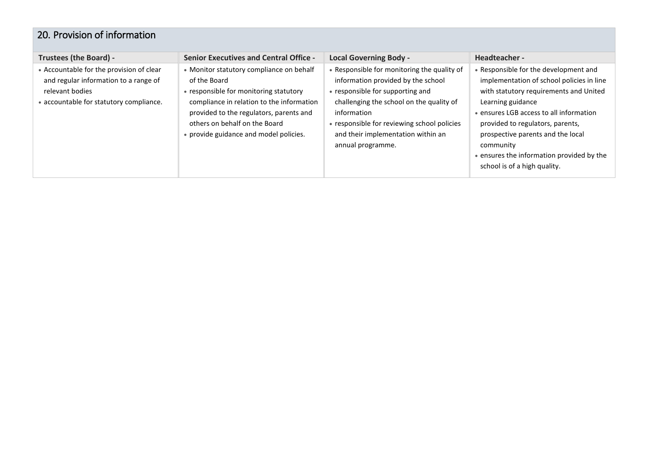#### <span id="page-21-0"></span>20. Provision of information

| Trustees (the Board) -                                                                                                                          | <b>Senior Executives and Central Office -</b>                                                                                                                                                                                                                         | <b>Local Governing Body -</b>                                                                                                                                                                                                                                                              | Headteacher -                                                                                                                                                                                                                                                                                                                                                   |
|-------------------------------------------------------------------------------------------------------------------------------------------------|-----------------------------------------------------------------------------------------------------------------------------------------------------------------------------------------------------------------------------------------------------------------------|--------------------------------------------------------------------------------------------------------------------------------------------------------------------------------------------------------------------------------------------------------------------------------------------|-----------------------------------------------------------------------------------------------------------------------------------------------------------------------------------------------------------------------------------------------------------------------------------------------------------------------------------------------------------------|
| • Accountable for the provision of clear<br>and regular information to a range of<br>relevant bodies<br>• accountable for statutory compliance. | • Monitor statutory compliance on behalf<br>of the Board<br>• responsible for monitoring statutory<br>compliance in relation to the information<br>provided to the regulators, parents and<br>others on behalf on the Board<br>• provide guidance and model policies. | • Responsible for monitoring the quality of<br>information provided by the school<br>• responsible for supporting and<br>challenging the school on the quality of<br>information<br>• responsible for reviewing school policies<br>and their implementation within an<br>annual programme. | • Responsible for the development and<br>implementation of school policies in line<br>with statutory requirements and United<br>Learning guidance<br>• ensures LGB access to all information<br>provided to regulators, parents,<br>prospective parents and the local<br>community<br>• ensures the information provided by the<br>school is of a high quality. |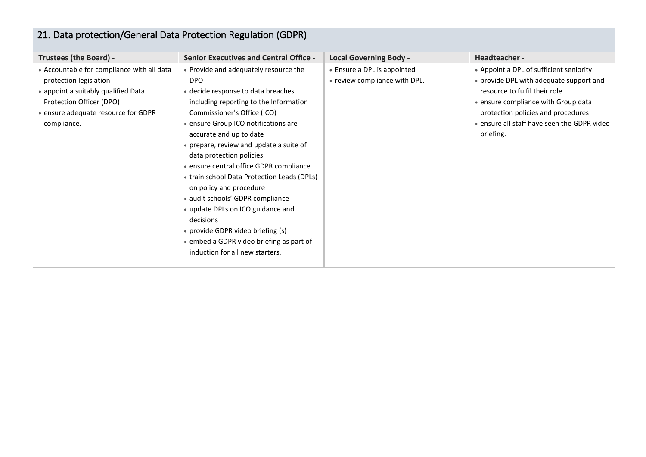<span id="page-22-0"></span>

| 21. Data protection/General Data Protection Regulation (GDPR)                                                                                                                                 |                                                                                                                                                                                                                                                                                                                                                                                                                                                                                                                                                                                                                                             |                                                              |                                                                                                                                                                                                                                                              |  |
|-----------------------------------------------------------------------------------------------------------------------------------------------------------------------------------------------|---------------------------------------------------------------------------------------------------------------------------------------------------------------------------------------------------------------------------------------------------------------------------------------------------------------------------------------------------------------------------------------------------------------------------------------------------------------------------------------------------------------------------------------------------------------------------------------------------------------------------------------------|--------------------------------------------------------------|--------------------------------------------------------------------------------------------------------------------------------------------------------------------------------------------------------------------------------------------------------------|--|
| <b>Trustees (the Board) -</b>                                                                                                                                                                 | <b>Senior Executives and Central Office -</b>                                                                                                                                                                                                                                                                                                                                                                                                                                                                                                                                                                                               | <b>Local Governing Body -</b>                                | Headteacher -                                                                                                                                                                                                                                                |  |
| • Accountable for compliance with all data<br>protection legislation<br>• appoint a suitably qualified Data<br>Protection Officer (DPO)<br>• ensure adequate resource for GDPR<br>compliance. | • Provide and adequately resource the<br><b>DPO</b><br>• decide response to data breaches<br>including reporting to the Information<br>Commissioner's Office (ICO)<br>• ensure Group ICO notifications are<br>accurate and up to date<br>• prepare, review and update a suite of<br>data protection policies<br>· ensure central office GDPR compliance<br>• train school Data Protection Leads (DPLs)<br>on policy and procedure<br>• audit schools' GDPR compliance<br>• update DPLs on ICO guidance and<br>decisions<br>• provide GDPR video briefing (s)<br>• embed a GDPR video briefing as part of<br>induction for all new starters. | • Ensure a DPL is appointed<br>• review compliance with DPL. | • Appoint a DPL of sufficient seniority<br>• provide DPL with adequate support and<br>resource to fulfil their role<br>• ensure compliance with Group data<br>protection policies and procedures<br>• ensure all staff have seen the GDPR video<br>briefing. |  |